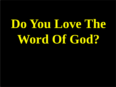# **Do You Love The Word Of God?**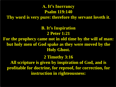#### **A. It's Inerrancy Psalm 119:140**

**Thy word is very pure: therefore thy servant loveth it**.

**B. It's Inspiration 2 Peter 1:21 For the prophecy came not in old time by the will of man: but holy men of God spake as they were moved by the Holy Ghost. 2 Timothy 3:16 All scripture is given by inspiration of God, and is profitable for doctrine, for reproof, for correction, for instruction in righteousness:**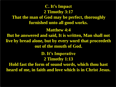# **C. It's Impact 2 Timothy 3:17 That the man of God may be perfect, thoroughly furnished unto all good works. Matthew 4:4 But he answered and said, It is written, Man shall not live by bread alone, but by every word that proceedeth out of the mouth of God. D. It's Imperative 2 Timothy 1:13**

**Hold fast the form of sound words, which thou hast heard of me, in faith and love which is in Christ Jesus.**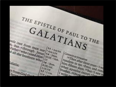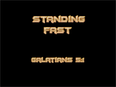



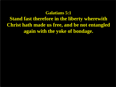#### **Galatians 5:1**

**Stand fast therefore in the liberty wherewith Christ hath made us free, and be not entangled again with the yoke of bondage.**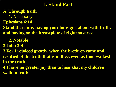#### **I. Stand Fast**

#### **A. Through truth**

 **1. Necessary Ephesians 6:14**

**Stand therefore, having your loins girt about with truth, and having on the breastplate of righteousness;**

#### **2. Notable**

**3 John 3-4**

**3 For I rejoiced greatly, when the brethren came and testified of the truth that is in thee, even as thou walkest in the truth.**

**4 I have no greater joy than to hear that my children walk in truth.**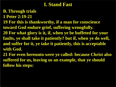## **I. Stand Fast**

#### **B. Through trials**

- **1 Peter 2:19-21**
- **19 For this is thankworthy, if a man for conscience toward God endure grief, suffering wrongfully. 20 For what glory is it, if, when ye be buffeted for your faults, ye shall take it patiently? but if, when ye do well, and suffer for it, ye take it patiently, this is acceptable with God.**
- **21 For even hereunto were ye called: because Christ also suffered for us, leaving us an example, that ye should follow his steps:**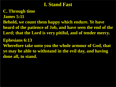## **I. Stand Fast**

**C. Through time**

**James 5:11**

**Behold, we count them happy which endure. Ye have heard of the patience of Job, and have seen the end of the Lord; that the Lord is very pitiful, and of tender mercy.**

**Ephesians 6:13**

**Wherefore take unto you the whole armour of God, that ye may be able to withstand in the evil day, and having done all, to stand.**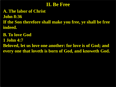#### **II. Be Free**

**A. The labor of Christ John 8:36 If the Son therefore shall make you free, ye shall be free indeed.**

**B. To love God 1 John 4:7 Beloved, let us love one another: for love is of God; and every one that loveth is born of God, and knoweth God.**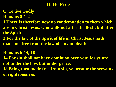# **II. Be Free**

- **C. To live Godly**
- **Romans 8:1-2**
- **1 There is therefore now no condemnation to them which are in Christ Jesus, who walk not after the flesh, but after the Spirit.**
- **2 For the law of the Spirit of life in Christ Jesus hath made me free from the law of sin and death.**

**Romans 6:14, 18**

**14 For sin shall not have dominion over you: for ye are not under the law, but under grace.**

**18 Being then made free from sin, ye became the servants of righteousness.**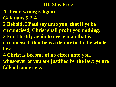**A. From wrong religion Galatians 5:2-4 2 Behold, I Paul say unto you, that if ye be circumcised, Christ shall profit you nothing. 3 For I testify again to every man that is circumcised, that he is a debtor to do the whole law.**

**4 Christ is become of no effect unto you, whosoever of you are justified by the law; ye are fallen from grace.**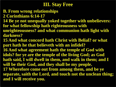#### **B. From wrong relationships 2 Corinthians 6:14-17**

**14 Be ye not unequally yoked together with unbelievers: for what fellowship hath righteousness with** 

**unrighteousness? and what communion hath light with darkness?**

**15 And what concord hath Christ with Belial? or what part hath he that believeth with an infidel?**

**16 And what agreement hath the temple of God with idols? for ye are the temple of the living God; as God hath said, I will dwell in them, and walk in them; and I will be their God, and they shall be my people. 17 Wherefore come out from among them, and be ye separate, saith the Lord, and touch not the unclean thing; and I will receive you.**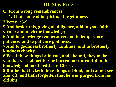- **C. From wrong remembrances**
	- **1. That can lead to spiritual forgetfulness**
- **2 Peter 1:5-9**
- **5 And beside this, giving all diligence, add to your faith virtue; and to virtue knowledge;**
- **6 And to knowledge temperance; and to temperance patience; and to patience godliness;**
- **7 And to godliness brotherly kindness; and to brotherly kindness charity.**
- **8 For if these things be in you, and abound, they make you that ye shall neither be barren nor unfruitful in the knowledge of our Lord Jesus Christ.**
- **9 But he that lacketh these things is blind, and cannot see afar off, and hath forgotten that he was purged from his old sins.**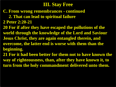- **C. From wrong remembrances - continued**
	- **2. That can lead to spiritual failure**
- **2 Peter 2:20-21**
- **20 For if after they have escaped the pollutions of the world through the knowledge of the Lord and Saviour Jesus Christ, they are again entangled therein, and overcome, the latter end is worse with them than the beginning.**
- **21 For it had been better for them not to have known the way of righteousness, than, after they have known it, to turn from the holy commandment delivered unto them.**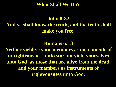**What Shall We Do?**

# **John 8:32 And ye shall know the truth, and the truth shall make you free.**

#### **Romans 6:13**

**Neither yield ye your members as instruments of unrighteousness unto sin: but yield yourselves unto God, as those that are alive from the dead, and your members as instruments of righteousness unto God.**